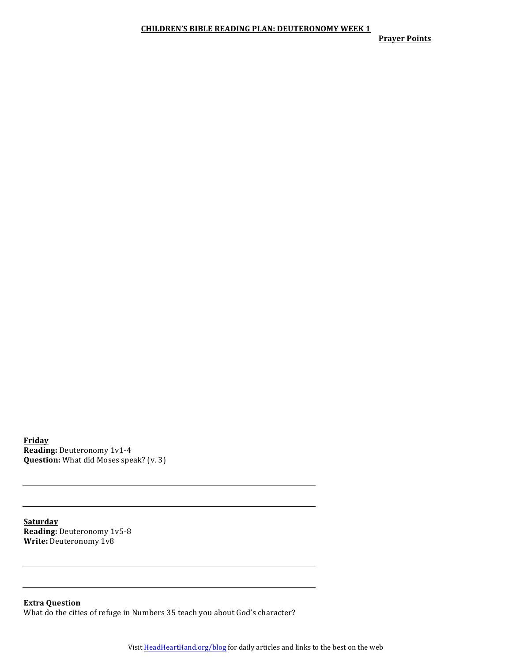**Prayer Points** 

**Friday Reading:** Deuteronomy 1v1-4 **Question:** What did Moses speak? (v. 3)

**Saturday Reading:** Deuteronomy 1v5-8 **Write:** Deuteronomy 1v8

**Extra Question** What do the cities of refuge in Numbers 35 teach you about God's character?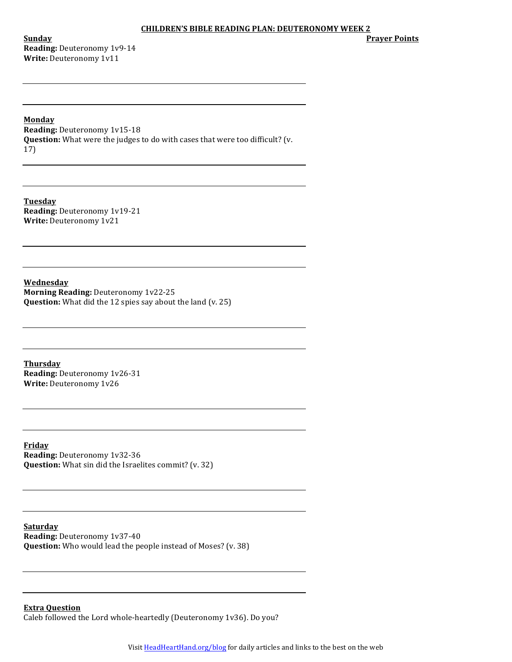**Sunday Reading:** Deuteronomy 1v9-14 **Write: Deuteronomy 1v11** 

**Prayer Points**

**Monday**

**Reading:** Deuteronomy 1v15-18 **Question:** What were the judges to do with cases that were too difficult? (v. 17)

**Tuesday Reading: Deuteronomy 1v19-21 Write: Deuteronomy 1v21** 

**Wednesday Morning Reading: Deuteronomy 1v22-25 Question:** What did the 12 spies say about the land (v. 25)

**Thursday Reading: Deuteronomy 1v26-31 Write:** Deuteronomy 1v26

**Friday Reading:** Deuteronomy 1v32-36 **Question:** What sin did the Israelites commit? (v. 32)

**Saturday Reading: Deuteronomy 1v37-40 Question:** Who would lead the people instead of Moses? (v. 38)

**Extra Question** Caleb followed the Lord whole-heartedly (Deuteronomy  $1v36$ ). Do you?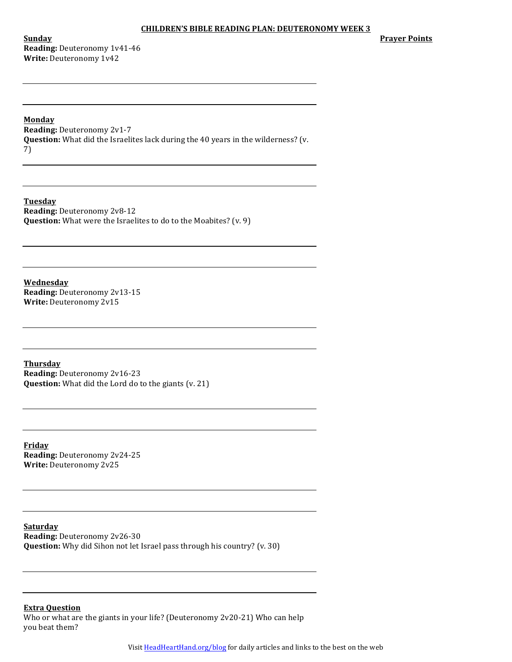**Sunday Reading:** Deuteronomy 1v41-46 **Write:** Deuteronomy 1v42

**Prayer Points** 

## **Monday**

**Reading: Deuteronomy 2v1-7 Question:** What did the Israelites lack during the 40 years in the wilderness? (v. 7)

**Tuesday Reading:** Deuteronomy 2v8-12 **Question:** What were the Israelites to do to the Moabites? (v. 9)

**Wednesday Reading: Deuteronomy 2v13-15 Write:** Deuteronomy 2v15

**Thursday Reading:** Deuteronomy 2v16-23 **Question:** What did the Lord do to the giants (v. 21)

**Friday Reading: Deuteronomy 2v24-25 Write:** Deuteronomy 2v25

**Saturday Reading: Deuteronomy 2v26-30 Question:** Why did Sihon not let Israel pass through his country? (v. 30)

**Extra Question**

Who or what are the giants in your life? (Deuteronomy  $2v20-21$ ) Who can help you beat them?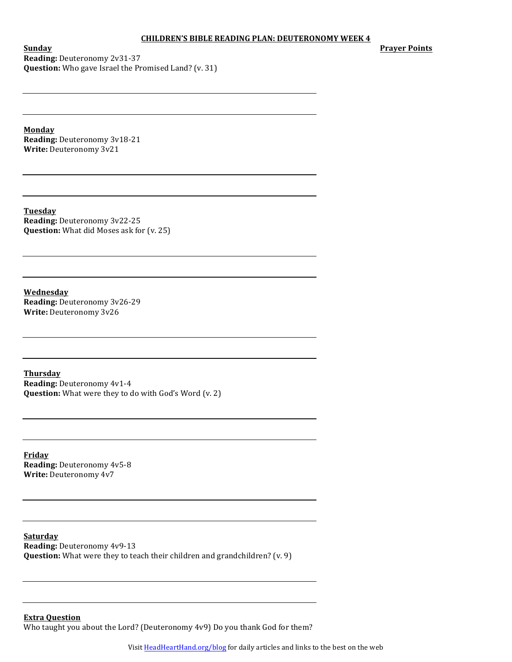**Prayer Points**

**Sunday Reading: Deuteronomy 2v31-37 Question:** Who gave Israel the Promised Land? (v. 31)

**Monday Reading:** Deuteronomy 3v18-21 **Write:** Deuteronomy 3v21

**Tuesday Reading:** Deuteronomy 3v22-25 **Question:** What did Moses ask for (v. 25)

**Wednesday Reading: Deuteronomy 3v26-29 Write:** Deuteronomy 3v26

**Thursday Reading: Deuteronomy 4v1-4 Question:** What were they to do with God's Word (v. 2)

**Friday Reading:** Deuteronomy 4v5-8 **Write:** Deuteronomy 4v7

**Saturday Reading: Deuteronomy 4v9-13 Question:** What were they to teach their children and grandchildren? (v. 9)

**Extra Question**

Who taught you about the Lord? (Deuteronomy 4v9) Do you thank God for them?

Visit **HeadHeartHand.org/blog** for daily articles and links to the best on the web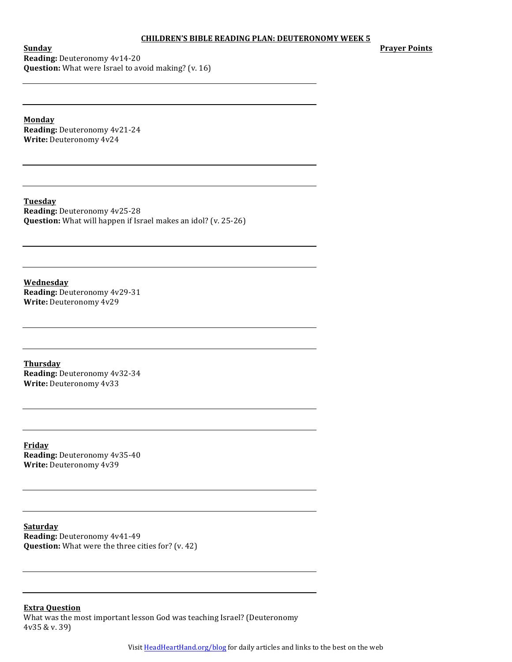**Prayer Points**

**Sunday Reading: Deuteronomy 4v14-20 Question:** What were Israel to avoid making? (v. 16)

**Monday Reading:** Deuteronomy 4v21-24 **Write: Deuteronomy 4v24** 

**Tuesday Reading:** Deuteronomy 4v25-28 **Question:** What will happen if Israel makes an idol? (v. 25-26)

**Wednesday Reading: Deuteronomy 4v29-31 Write:** Deuteronomy 4v29

**Thursday Reading: Deuteronomy 4v32-34 Write:** Deuteronomy 4v33

**Friday Reading: Deuteronomy 4v35-40 Write:** Deuteronomy 4v39

**Saturday Reading:** Deuteronomy 4v41-49 **Question:** What were the three cities for? (v. 42)

**Extra Question**

What was the most important lesson God was teaching Israel? (Deuteronomy  $4v35 & v. 39$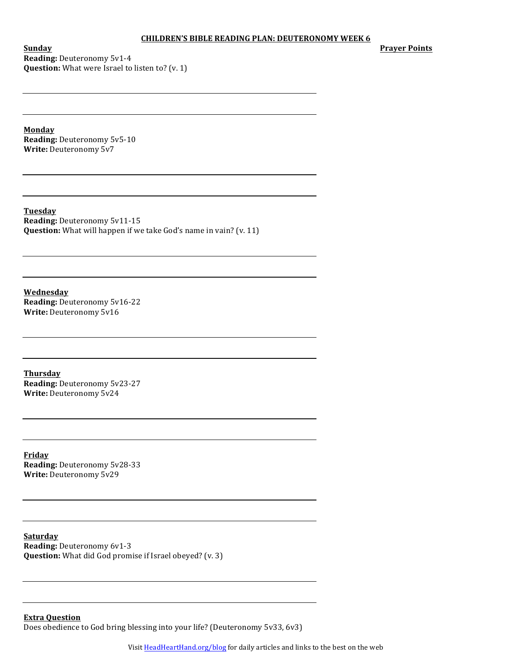**Prayer Points**

**Sunday Reading: Deuteronomy 5v1-4 Question:** What were Israel to listen to? (v. 1)

**Monday Reading:** Deuteronomy 5v5-10 **Write: Deuteronomy 5v7** 

**Tuesday Reading:** Deuteronomy 5v11-15 **Question:** What will happen if we take God's name in vain? (v. 11)

**Wednesday Reading: Deuteronomy 5v16-22 Write:** Deuteronomy 5v16

**Thursday Reading: Deuteronomy 5v23-27 Write: Deuteronomy 5v24** 

**Friday Reading: Deuteronomy 5v28-33 Write:** Deuteronomy 5v29

**Saturday Reading:** Deuteronomy 6v1-3 **Question:** What did God promise if Israel obeyed? (v. 3)

**Extra Question** Does obedience to God bring blessing into your life? (Deuteronomy 5v33, 6v3)

Visit **HeadHeartHand.org/blog** for daily articles and links to the best on the web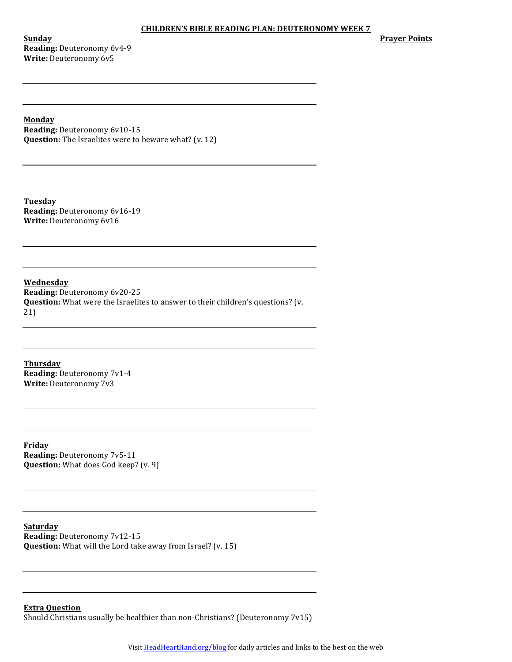**Sunday Reading:** Deuteronomy 6v4-9 **Write: Deuteronomy 6v5** 

**Prayer Points** 

**Monday**

**Reading:** Deuteronomy 6v10-15 **Question:** The Israelites were to beware what? (v. 12)

**Tuesday Reading:** Deuteronomy 6v16-19 **Write:** Deuteronomy 6v16

**Wednesday Reading: Deuteronomy 6v20-25 Question:** What were the Israelites to answer to their children's questions? (v. 21)

**Thursday Reading: Deuteronomy 7v1-4 Write:** Deuteronomy 7v3

**Friday Reading: Deuteronomy 7v5-11 Question:** What does God keep? (v. 9)

**Saturday Reading: Deuteronomy 7v12-15 Question:** What will the Lord take away from Israel? (v. 15)

**Extra Question** Should Christians usually be healthier than non-Christians? (Deuteronomy  $7v15$ )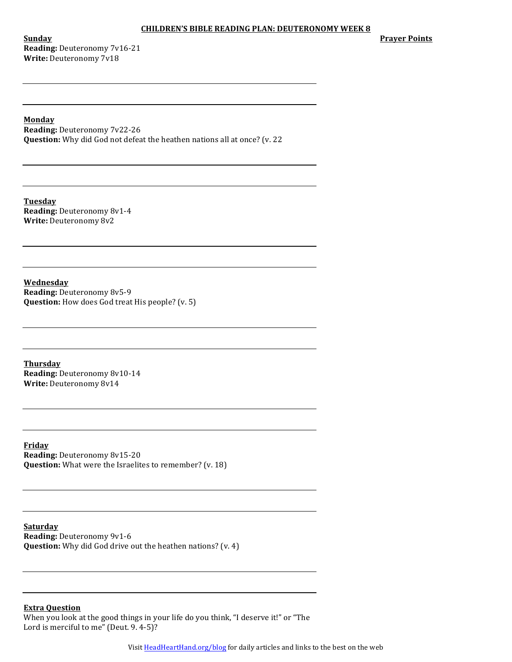**Sunday Reading: Deuteronomy 7v16-21 Write: Deuteronomy 7v18** 

**Prayer Points** 

## **Monday**

**Reading:** Deuteronomy 7v22-26 **Question:** Why did God not defeat the heathen nations all at once? (v. 22

**Tuesday Reading: Deuteronomy 8v1-4 Write: Deuteronomy 8v2** 

**Wednesday Reading:** Deuteronomy 8v5-9 **Question:** How does God treat His people? (v. 5)

**Thursday Reading: Deuteronomy 8v10-14 Write: Deuteronomy 8v14** 

**Friday Reading:** Deuteronomy 8v15-20 **Question:** What were the Israelites to remember? (v. 18)

**Saturday Reading:** Deuteronomy 9v1-6 **Question:** Why did God drive out the heathen nations? (v. 4)

# **Extra Question**

When you look at the good things in your life do you think, "I deserve it!" or "The Lord is merciful to me" (Deut. 9. 4-5)?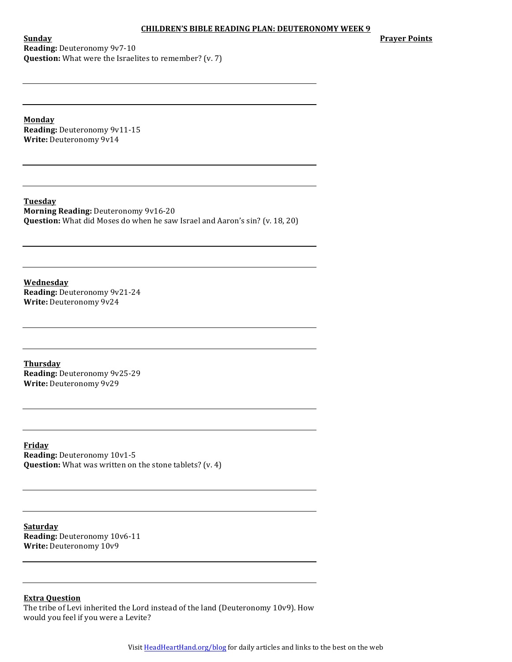**Prayer Points** 

**Sunday Reading:** Deuteronomy 9v7-10 **Question:** What were the Israelites to remember? (v. 7)

**Monday Reading: Deuteronomy 9v11-15 Write: Deuteronomy 9v14** 

**Tuesday Morning Reading: Deuteronomy 9v16-20 Question:** What did Moses do when he saw Israel and Aaron's sin? (v. 18, 20)

**Wednesday Reading: Deuteronomy 9v21-24 Write: Deuteronomy 9v24** 

**Thursday Reading: Deuteronomy 9v25-29 Write:** Deuteronomy 9v29

**Friday Reading: Deuteronomy 10v1-5 Question:** What was written on the stone tablets? (v. 4)

**Saturday Reading: Deuteronomy 10v6-11** Write: Deuteronomy 10v9

## **Extra Question**

The tribe of Levi inherited the Lord instead of the land (Deuteronomy 10v9). How would you feel if you were a Levite?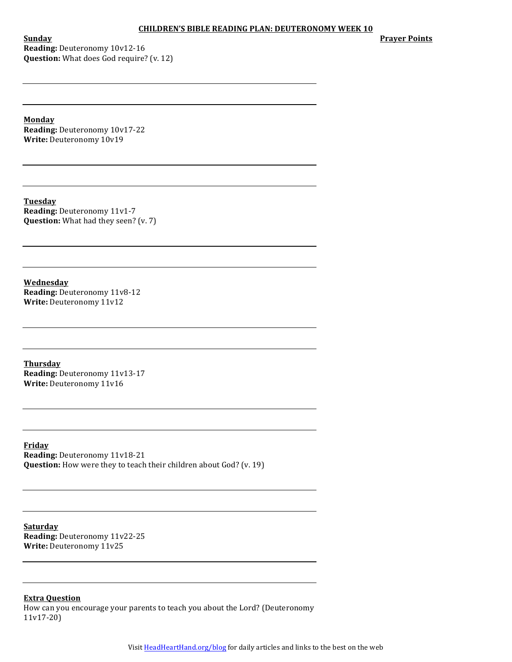**Sunday Reading:** Deuteronomy 10v12-16 **Question:** What does God require? (v. 12) **Prayer Points** 

**Monday**

**Reading: Deuteronomy 10v17-22** Write: Deuteronomy 10v19

**Tuesday Reading: Deuteronomy 11v1-7 Question:** What had they seen? (v. 7)

**Wednesday Reading:** Deuteronomy 11v8-12 **Write:** Deuteronomy 11v12

**Thursday Reading:** Deuteronomy 11v13-17 Write: Deuteronomy 11v16

**Friday Reading:** Deuteronomy 11v18-21 **Question:** How were they to teach their children about God? (v. 19)

**Saturday Reading:** Deuteronomy 11v22-25 **Write:** Deuteronomy 11v25

# **Extra Question**

How can you encourage your parents to teach you about the Lord? (Deuteronomy 11v17-20)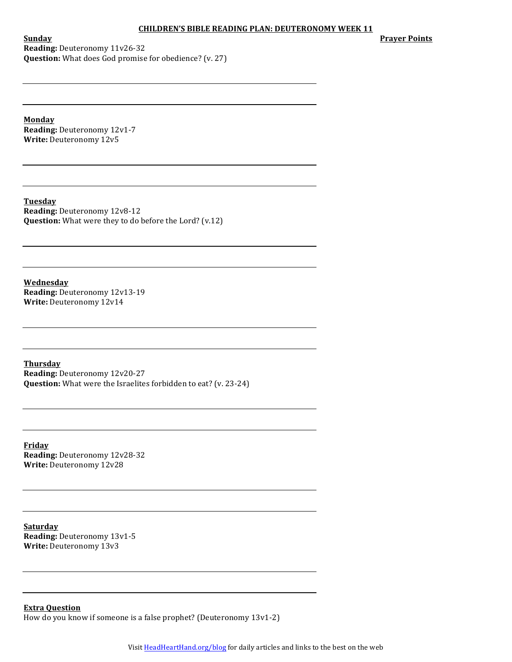**Prayer Points** 

**Sunday Reading:** Deuteronomy 11v26-32 **Question:** What does God promise for obedience? (v. 27)

**Monday Reading: Deuteronomy 12v1-7 Write:** Deuteronomy 12v5

**Tuesday Reading: Deuteronomy 12v8-12 Question:** What were they to do before the Lord? (v.12)

**Wednesday Reading:** Deuteronomy 12v13-19 **Write:** Deuteronomy 12v14

**Thursday Reading:** Deuteronomy 12v20-27 **Question:** What were the Israelites forbidden to eat? (v. 23-24)

**Friday Reading:** Deuteronomy 12v28-32 **Write:** Deuteronomy 12v28

**Saturday Reading:** Deuteronomy 13v1-5 **Write:** Deuteronomy 13v3

**Extra Question** How do you know if someone is a false prophet? (Deuteronomy  $13v1-2$ )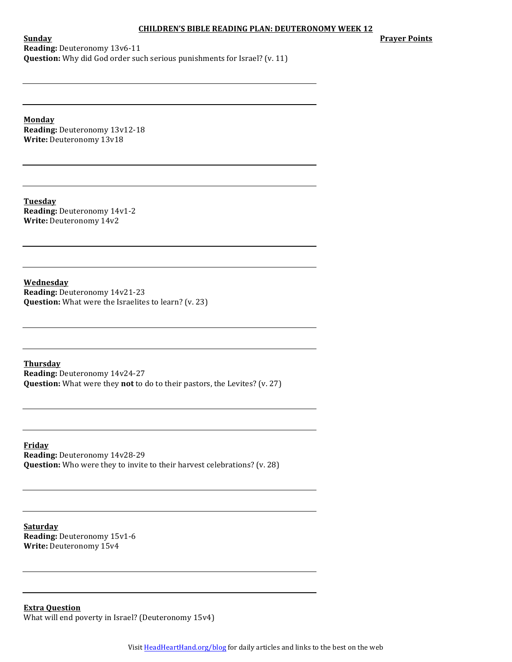**Prayer Points** 

**Sunday Reading:** Deuteronomy 13v6-11 **Question:** Why did God order such serious punishments for Israel? (v. 11)

**Monday Reading:** Deuteronomy 13v12-18 Write: Deuteronomy 13v18

**Tuesday Reading:** Deuteronomy 14v1-2 **Write:** Deuteronomy 14v2

**Wednesday Reading:** Deuteronomy 14v21-23 **Question:** What were the Israelites to learn? (v. 23)

**Thursday Reading: Deuteronomy 14v24-27 Question:** What were they not to do to their pastors, the Levites? (v. 27)

**Friday Reading:** Deuteronomy 14v28-29 **Question:** Who were they to invite to their harvest celebrations? (v. 28)

**Saturday Reading: Deuteronomy 15v1-6 Write:** Deuteronomy 15v4

**Extra Question** What will end poverty in Israel? (Deuteronomy 15v4)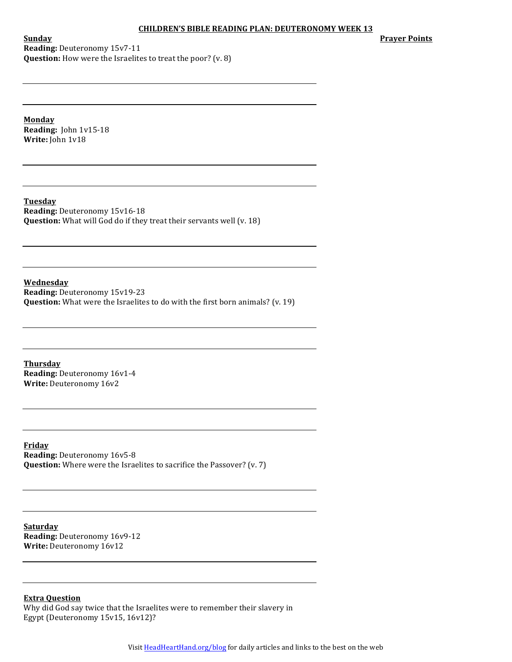**Prayer Points** 

**Sunday Reading:** Deuteronomy 15v7-11 **Question:** How were the Israelites to treat the poor? (v. 8)

**Monday Reading:** John 1v15-18 **Write:** John 1v18

**Tuesday Reading: Deuteronomy 15v16-18 Question:** What will God do if they treat their servants well (v. 18)

**Wednesday Reading:** Deuteronomy 15v19-23 **Question:** What were the Israelites to do with the first born animals? (v. 19)

**Thursday Reading: Deuteronomy 16v1-4 Write:** Deuteronomy 16v2

**Friday Reading: Deuteronomy 16v5-8 Question:** Where were the Israelites to sacrifice the Passover? (v. 7)

**Saturday Reading:** Deuteronomy 16v9-12 **Write:** Deuteronomy 16v12

**Extra Question**

Why did God say twice that the Israelites were to remember their slavery in Egypt (Deuteronomy 15v15, 16v12)?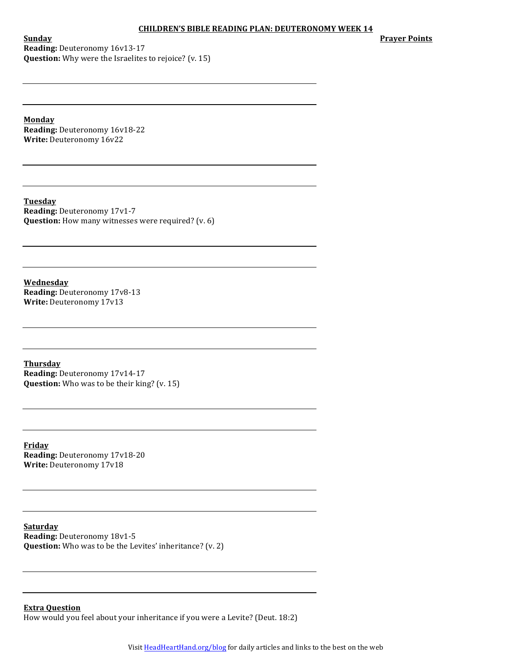**Prayer Points** 

**Sunday Reading:** Deuteronomy 16v13-17 **Question:** Why were the Israelites to rejoice? (v. 15)

**Monday Reading: Deuteronomy 16v18-22** Write: Deuteronomy 16v22

**Tuesday Reading:** Deuteronomy 17v1-7 **Question:** How many witnesses were required? (v. 6)

**Wednesday Reading: Deuteronomy 17v8-13 Write:** Deuteronomy 17v13

**Thursday Reading:** Deuteronomy 17v14-17 **Question:** Who was to be their king? (v. 15)

**Friday Reading:** Deuteronomy 17v18-20 **Write:** Deuteronomy 17v18

**Saturday Reading: Deuteronomy 18v1-5 Question:** Who was to be the Levites' inheritance? (v. 2)

**Extra Question** How would you feel about your inheritance if you were a Levite? (Deut. 18:2)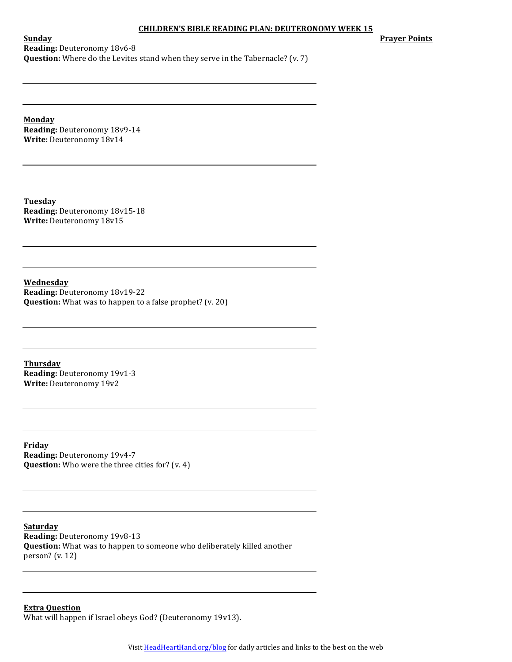**Prayer Points** 

**Sunday Reading:** Deuteronomy 18v6-8 **Question:** Where do the Levites stand when they serve in the Tabernacle? (v. 7)

**Monday Reading: Deuteronomy 18v9-14** Write: Deuteronomy 18v14

**Tuesday Reading: Deuteronomy 18v15-18** Write: Deuteronomy 18v15

**Wednesday Reading:** Deuteronomy 18v19-22 **Question:** What was to happen to a false prophet? (v. 20)

**Thursday Reading: Deuteronomy 19v1-3 Write: Deuteronomy 19v2** 

**Friday Reading: Deuteronomy 19v4-7 Question:** Who were the three cities for? (v. 4)

**Saturday Reading: Deuteronomy 19v8-13 Question:** What was to happen to someone who deliberately killed another person?  $(v. 12)$ 

**Extra Question** What will happen if Israel obeys God? (Deuteronomy 19v13).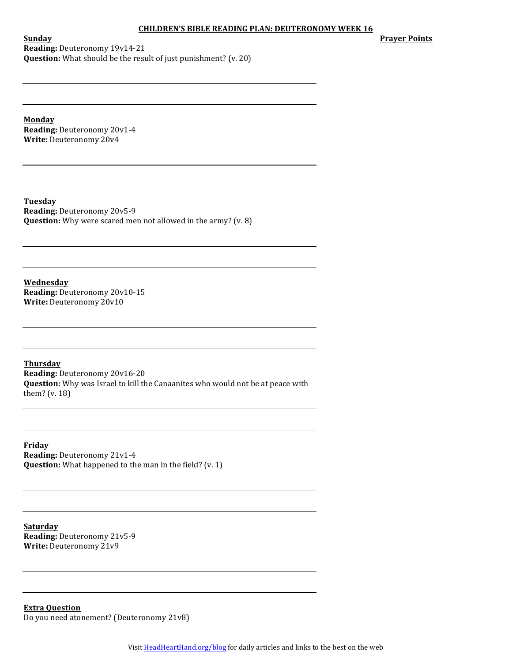**Prayer Points** 

**Sunday Reading:** Deuteronomy 19v14-21 **Question:** What should be the result of just punishment? (v. 20)

**Monday Reading:** Deuteronomy 20v1-4 **Write: Deuteronomy 20v4** 

**Tuesday Reading: Deuteronomy 20v5-9 Question:** Why were scared men not allowed in the army? (v. 8)

**Wednesday Reading: Deuteronomy 20v10-15 Write:** Deuteronomy 20v10

**Thursday Reading: Deuteronomy 20v16-20 Question:** Why was Israel to kill the Canaanites who would not be at peace with them?  $(v. 18)$ 

**Friday Reading:** Deuteronomy 21v1-4 **Question:** What happened to the man in the field? (v. 1)

**Saturday Reading:** Deuteronomy 21v5-9 **Write:** Deuteronomy 21v9

**Extra Question** Do you need atonement? (Deuteronomy 21v8)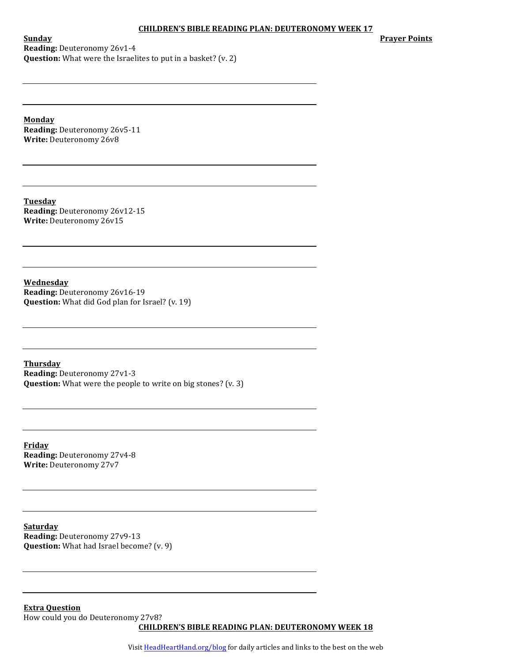**Prayer Points** 

**Sunday Reading:** Deuteronomy 26v1-4 **Question:** What were the Israelites to put in a basket? (v. 2)

**Monday Reading:** Deuteronomy 26v5-11 **Write: Deuteronomy 26v8** 

**Tuesday Reading:** Deuteronomy 26v12-15 **Write:** Deuteronomy 26v15

**Wednesday Reading:** Deuteronomy 26v16-19 **Question:** What did God plan for Israel? (v. 19)

**Thursday Reading:** Deuteronomy 27v1-3 **Question:** What were the people to write on big stones? (v. 3)

**Friday Reading:** Deuteronomy 27v4-8 Write: Deuteronomy 27v7

**Saturday Reading: Deuteronomy 27v9-13 Question:** What had Israel become? (v. 9)

**Extra Question** How could you do Deuteronomy 27v8? **CHILDREN'S BIBLE READING PLAN: DEUTERONOMY WEEK 18** 

Visit **HeadHeartHand.org/blog** for daily articles and links to the best on the web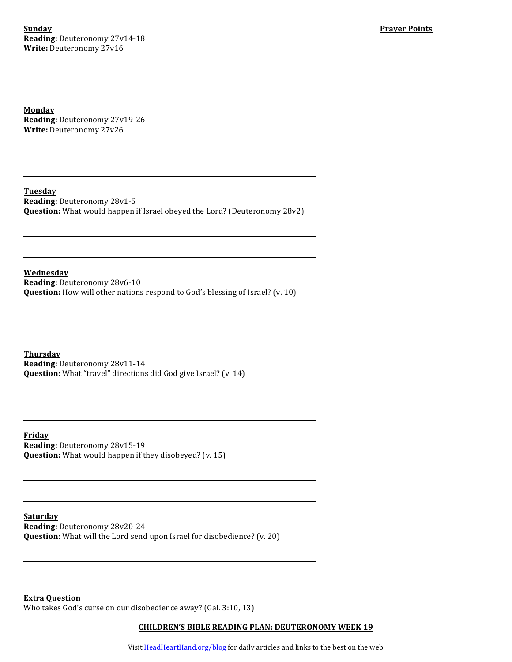**Sunday Reading: Deuteronomy 27v14-18 Write:** Deuteronomy 27v16

**Monday Reading:** Deuteronomy 27v19-26 Write: Deuteronomy 27v26

**Tuesday Reading:** Deuteronomy 28v1-5 **Question:** What would happen if Israel obeyed the Lord? (Deuteronomy 28v2)

**Wednesday Reading:** Deuteronomy 28v6-10 **Question:** How will other nations respond to God's blessing of Israel? (v. 10)

**Thursday Reading: Deuteronomy 28v11-14 Question:** What "travel" directions did God give Israel? (v. 14)

**Friday Reading:** Deuteronomy 28v15-19 **Question:** What would happen if they disobeyed? (v. 15)

**Saturday Reading:** Deuteronomy 28v20-24 **Question:** What will the Lord send upon Israel for disobedience? (v. 20)

**Extra Question** Who takes God's curse on our disobedience away? (Gal. 3:10, 13)

## **CHILDREN'S BIBLE READING PLAN: DEUTERONOMY WEEK 19**

Visit HeadHeartHand.org/blog for daily articles and links to the best on the web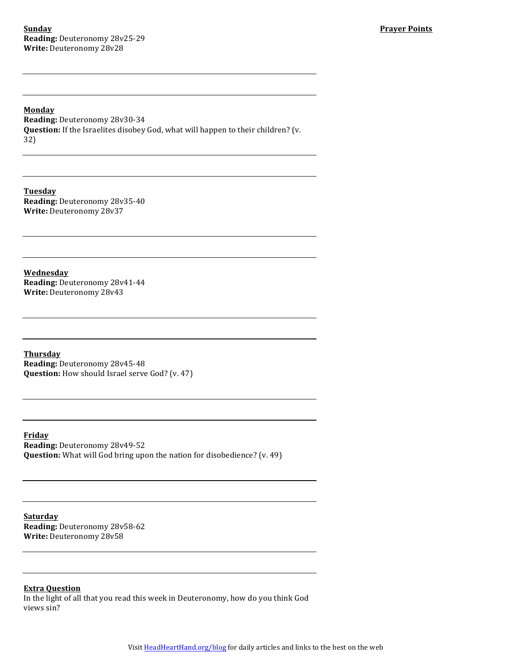**Monday Reading:** Deuteronomy 28v30-34 **Question:** If the Israelites disobey God, what will happen to their children? (v. 32)

**Tuesday Reading:** Deuteronomy 28v35-40 **Write:** Deuteronomy 28v37

**Wednesday Reading:** Deuteronomy 28v41-44 Write: Deuteronomy 28v43

**Thursday Reading: Deuteronomy 28v45-48 Question:** How should Israel serve God? (v. 47)

**Friday Reading:** Deuteronomy 28v49-52 **Question:** What will God bring upon the nation for disobedience? (v. 49)

**Saturday Reading:** Deuteronomy 28v58-62 **Write:** Deuteronomy 28v58

# **Extra Question**

In the light of all that you read this week in Deuteronomy, how do you think God views sin?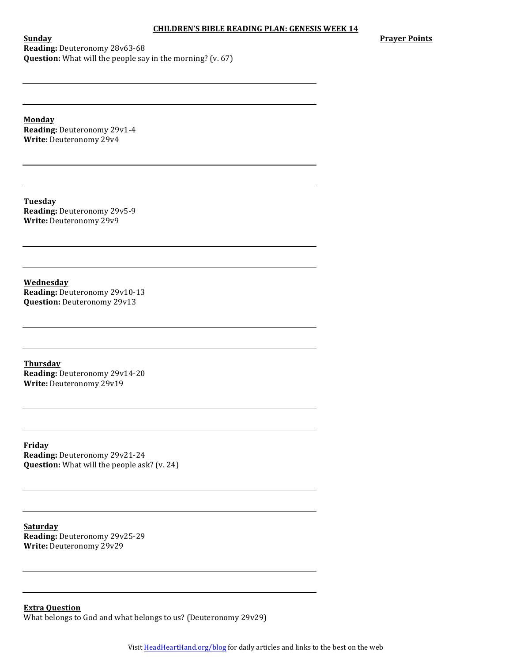**Prayer Points** 

**Sunday Reading:** Deuteronomy 28v63-68 **Question:** What will the people say in the morning? (v. 67)

**Monday Reading: Deuteronomy 29v1-4 Write: Deuteronomy 29v4** 

**Tuesday Reading: Deuteronomy 29v5-9 Write:** Deuteronomy 29v9

**Wednesday Reading:** Deuteronomy 29v10-13 **Question:** Deuteronomy 29v13

**Thursday Reading:** Deuteronomy 29v14-20 Write: Deuteronomy 29v19

**Friday Reading:** Deuteronomy 29v21-24 **Question:** What will the people ask? (v. 24)

**Saturday Reading:** Deuteronomy 29v25-29 **Write:** Deuteronomy 29v29

**Extra Question** What belongs to God and what belongs to us? (Deuteronomy 29v29)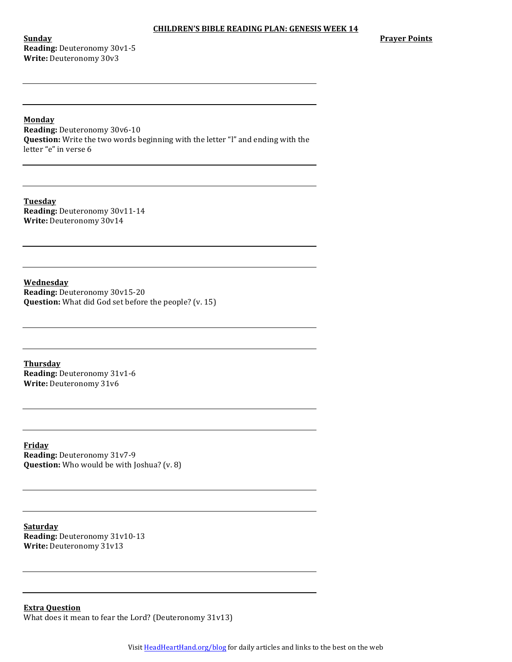**Sunday Reading: Deuteronomy 30v1-5 Write:** Deuteronomy 30v3

#### **Monday**

**Reading: Deuteronomy 30v6-10 Question:** Write the two words beginning with the letter "I" and ending with the letter "e" in verse 6

**Tuesday Reading: Deuteronomy 30v11-14** Write: Deuteronomy 30v14

**Wednesday Reading: Deuteronomy 30v15-20 Question:** What did God set before the people? (v. 15)

**Thursday Reading: Deuteronomy 31v1-6 Write: Deuteronomy 31v6** 

**Friday Reading:** Deuteronomy 31v7-9 **Question:** Who would be with Joshua? (v. 8)

**Saturday Reading:** Deuteronomy 31v10-13 **Write:** Deuteronomy 31v13

**Extra Question** What does it mean to fear the Lord? (Deuteronomy  $31v13$ )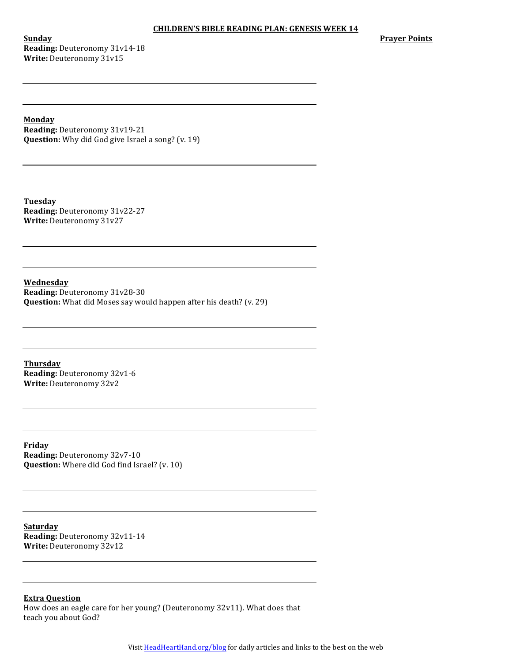**Sunday Reading:** Deuteronomy 31v14-18 **Write:** Deuteronomy 31v15

**Prayer Points** 

**Monday**

**Reading:** Deuteronomy 31v19-21 **Question:** Why did God give Israel a song? (v. 19)

**Tuesday Reading:** Deuteronomy 31v22-27 **Write:** Deuteronomy 31v27

**Wednesday Reading:** Deuteronomy 31v28-30 **Question:** What did Moses say would happen after his death? (v. 29)

**Thursday Reading: Deuteronomy 32v1-6** Write: Deuteronomy 32v2

**Friday Reading:** Deuteronomy 32v7-10 **Question:** Where did God find Israel? (v. 10)

**Saturday Reading:** Deuteronomy 32v11-14 **Write:** Deuteronomy 32v12

**Extra Question**

How does an eagle care for her young? (Deuteronomy 32v11). What does that teach you about God?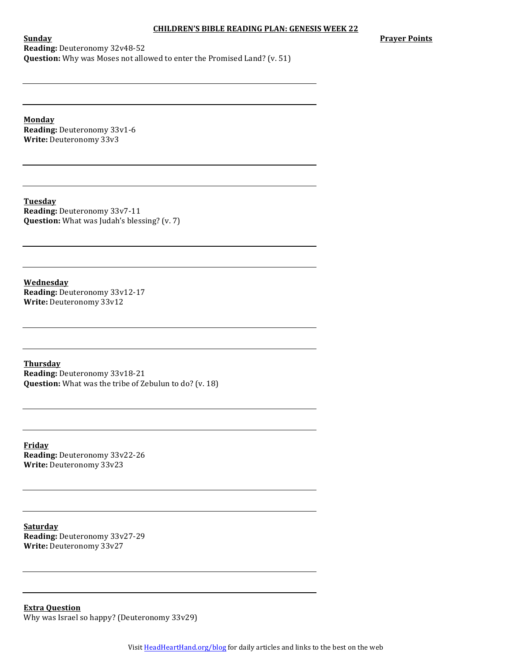**Prayer Points** 

**Sunday Reading:** Deuteronomy 32v48-52 **Question:** Why was Moses not allowed to enter the Promised Land? (v. 51)

**Monday Reading:** Deuteronomy 33v1-6 **Write: Deuteronomy 33v3** 

**Tuesday Reading:** Deuteronomy 33v7-11 **Question:** What was Judah's blessing? (v. 7)

**Wednesday Reading:** Deuteronomy 33v12-17 **Write: Deuteronomy 33v12** 

**Thursday Reading:** Deuteronomy 33v18-21 **Question:** What was the tribe of Zebulun to do? (v. 18)

**Friday Reading:** Deuteronomy 33v22-26 Write: Deuteronomy 33v23

**Saturday Reading:** Deuteronomy 33v27-29 **Write:** Deuteronomy 33v27

**Extra Question** Why was Israel so happy? (Deuteronomy  $33v29$ )